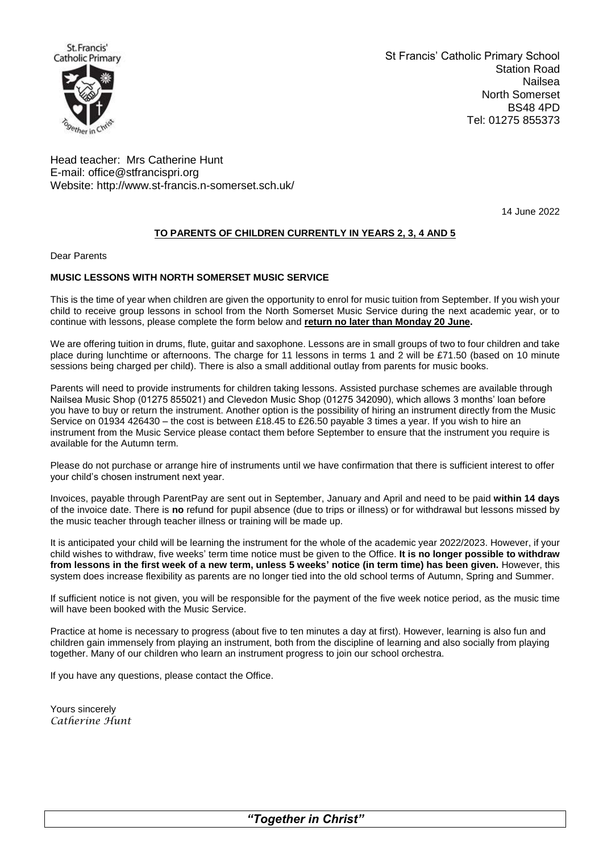

St Francis' Catholic Primary School Station Road Nailsea North Somerset BS48 4PD Tel: 01275 855373

Head teacher: Mrs Catherine Hunt E-mail: [office@stfrancispri.org](mailto:office@stfrancispri.org) Website:<http://www.st-francis.n-somerset.sch.uk/>

14 June 2022

## **TO PARENTS OF CHILDREN CURRENTLY IN YEARS 2, 3, 4 AND 5**

Dear Parents

## **MUSIC LESSONS WITH NORTH SOMERSET MUSIC SERVICE**

This is the time of year when children are given the opportunity to enrol for music tuition from September. If you wish your child to receive group lessons in school from the North Somerset Music Service during the next academic year, or to continue with lessons, please complete the form below and **return no later than Monday 20 June.** 

We are offering tuition in drums, flute, guitar and saxophone. Lessons are in small groups of two to four children and take place during lunchtime or afternoons. The charge for 11 lessons in terms 1 and 2 will be £71.50 (based on 10 minute sessions being charged per child). There is also a small additional outlay from parents for music books.

Parents will need to provide instruments for children taking lessons. Assisted purchase schemes are available through Nailsea Music Shop (01275 855021) and Clevedon Music Shop (01275 342090), which allows 3 months' loan before you have to buy or return the instrument. Another option is the possibility of hiring an instrument directly from the Music Service on 01934 426430 – the cost is between £18.45 to £26.50 payable 3 times a year. If you wish to hire an instrument from the Music Service please contact them before September to ensure that the instrument you require is available for the Autumn term.

Please do not purchase or arrange hire of instruments until we have confirmation that there is sufficient interest to offer your child's chosen instrument next year.

Invoices, payable through ParentPay are sent out in September, January and April and need to be paid **within 14 days** of the invoice date. There is **no** refund for pupil absence (due to trips or illness) or for withdrawal but lessons missed by the music teacher through teacher illness or training will be made up.

It is anticipated your child will be learning the instrument for the whole of the academic year 2022/2023. However, if your child wishes to withdraw, five weeks' term time notice must be given to the Office. **It is no longer possible to withdraw from lessons in the first week of a new term, unless 5 weeks' notice (in term time) has been given.** However, this system does increase flexibility as parents are no longer tied into the old school terms of Autumn, Spring and Summer.

If sufficient notice is not given, you will be responsible for the payment of the five week notice period, as the music time will have been booked with the Music Service.

Practice at home is necessary to progress (about five to ten minutes a day at first). However, learning is also fun and children gain immensely from playing an instrument, both from the discipline of learning and also socially from playing together. Many of our children who learn an instrument progress to join our school orchestra.

If you have any questions, please contact the Office.

Yours sincerely *Catherine Hunt*